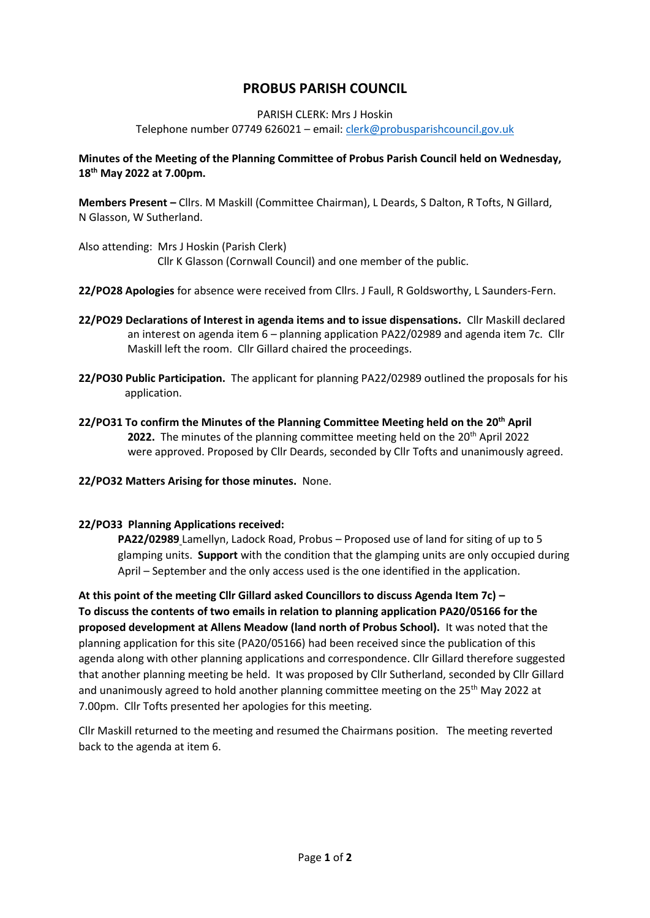# **PROBUS PARISH COUNCIL**

#### PARISH CLERK: Mrs J Hoskin

Telephone number 07749 626021 – email[: clerk@probusparishcouncil.gov.uk](mailto:clerk@probusparishcouncil.gov.uk)

## **Minutes of the Meeting of the Planning Committee of Probus Parish Council held on Wednesday, 18th May 2022 at 7.00pm.**

**Members Present –** Cllrs. M Maskill (Committee Chairman), L Deards, S Dalton, R Tofts, N Gillard, N Glasson, W Sutherland.

- Also attending: Mrs J Hoskin (Parish Clerk) Cllr K Glasson (Cornwall Council) and one member of the public.
- **22/PO28 Apologies** for absence were received from Cllrs. J Faull, R Goldsworthy, L Saunders-Fern.
- **22/PO29 Declarations of Interest in agenda items and to issue dispensations.** Cllr Maskill declared an interest on agenda item 6 – planning application PA22/02989 and agenda item 7c. Cllr Maskill left the room. Cllr Gillard chaired the proceedings.
- **22/PO30 Public Participation.** The applicant for planning PA22/02989 outlined the proposals for his application.
- **22/PO31 To confirm the Minutes of the Planning Committee Meeting held on the 20th April 2022.** The minutes of the planning committee meeting held on the 20<sup>th</sup> April 2022 were approved. Proposed by Cllr Deards, seconded by Cllr Tofts and unanimously agreed.
- **22/PO32 Matters Arising for those minutes.** None.

## **22/PO33 Planning Applications received:**

**PA22/02989** Lamellyn, Ladock Road, Probus – Proposed use of land for siting of up to 5 glamping units. **Support** with the condition that the glamping units are only occupied during April – September and the only access used is the one identified in the application.

**At this point of the meeting Cllr Gillard asked Councillors to discuss Agenda Item 7c) – To discuss the contents of two emails in relation to planning application PA20/05166 for the proposed development at Allens Meadow (land north of Probus School).** It was noted that the planning application for this site (PA20/05166) had been received since the publication of this agenda along with other planning applications and correspondence. Cllr Gillard therefore suggested that another planning meeting be held. It was proposed by Cllr Sutherland, seconded by Cllr Gillard and unanimously agreed to hold another planning committee meeting on the 25<sup>th</sup> May 2022 at 7.00pm. Cllr Tofts presented her apologies for this meeting.

Cllr Maskill returned to the meeting and resumed the Chairmans position. The meeting reverted back to the agenda at item 6.